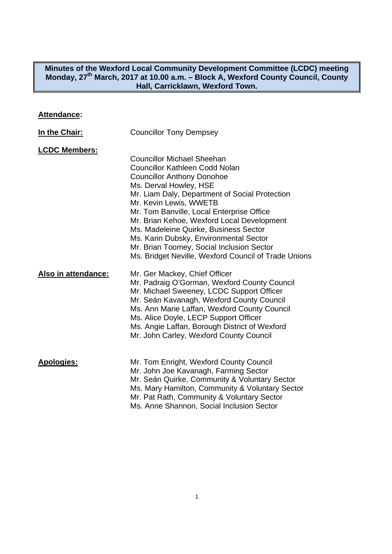#### **Minutes of the Wexford Local Community Development Committee (LCDC) meeting**  Monday, 27<sup>th</sup> March, 2017 at 10.00 a.m. - Block A, Wexford County Council, County **Hall, Carricklawn, Wexford Town.**

## **Attendance:**

| In the Chair:        | <b>Councillor Tony Dempsey</b>                                                                                                                                                                                                                                                                                                                                                                                                                                                                           |
|----------------------|----------------------------------------------------------------------------------------------------------------------------------------------------------------------------------------------------------------------------------------------------------------------------------------------------------------------------------------------------------------------------------------------------------------------------------------------------------------------------------------------------------|
| <b>LCDC Members:</b> | <b>Councillor Michael Sheehan</b><br><b>Councillor Kathleen Codd Nolan</b><br><b>Councillor Anthony Donohoe</b><br>Ms. Derval Howley, HSE<br>Mr. Liam Daly, Department of Social Protection<br>Mr. Kevin Lewis, WWETB<br>Mr. Tom Banville, Local Enterprise Office<br>Mr. Brian Kehoe, Wexford Local Development<br>Ms. Madeleine Quirke, Business Sector<br>Ms. Karin Dubsky, Environmental Sector<br>Mr. Brian Toomey, Social Inclusion Sector<br>Ms. Bridget Neville, Wexford Council of Trade Unions |
| Also in attendance:  | Mr. Ger Mackey, Chief Officer<br>Mr. Padraig O'Gorman, Wexford County Council<br>Mr. Michael Sweeney, LCDC Support Officer<br>Mr. Seán Kavanagh, Wexford County Council<br>Ms. Ann Marie Laffan, Wexford County Council<br>Ms. Alice Doyle, LECP Support Officer<br>Ms. Angie Laffan, Borough District of Wexford<br>Mr. John Carley, Wexford County Council                                                                                                                                             |
| <b>Apologies:</b>    | Mr. Tom Enright, Wexford County Council<br>Mr. John Joe Kavanagh, Farming Sector<br>Mr. Seán Quirke, Community & Voluntary Sector<br>Ms. Mary Hamilton, Community & Voluntary Sector<br>Mr. Pat Rath, Community & Voluntary Sector<br>Ms. Anne Shannon, Social Inclusion Sector                                                                                                                                                                                                                          |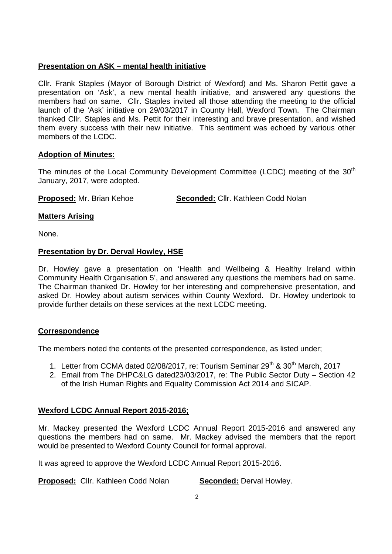# **Presentation on ASK – mental health initiative**

Cllr. Frank Staples (Mayor of Borough District of Wexford) and Ms. Sharon Pettit gave a presentation on 'Ask', a new mental health initiative, and answered any questions the members had on same. Cllr. Staples invited all those attending the meeting to the official launch of the 'Ask' initiative on 29/03/2017 in County Hall, Wexford Town. The Chairman thanked Cllr. Staples and Ms. Pettit for their interesting and brave presentation, and wished them every success with their new initiative. This sentiment was echoed by various other members of the LCDC.

# **Adoption of Minutes:**

The minutes of the Local Community Development Committee (LCDC) meeting of the 30<sup>th</sup> January, 2017, were adopted.

**Proposed:** Mr. Brian Kehoe **Seconded:** Cllr. Kathleen Codd Nolan

# **Matters Arising**

None.

# **Presentation by Dr. Derval Howley, HSE**

Dr. Howley gave a presentation on 'Health and Wellbeing & Healthy Ireland within Community Health Organisation 5', and answered any questions the members had on same. The Chairman thanked Dr. Howley for her interesting and comprehensive presentation, and asked Dr. Howley about autism services within County Wexford. Dr. Howley undertook to provide further details on these services at the next LCDC meeting.

# **Correspondence**

The members noted the contents of the presented correspondence, as listed under;

- 1. Letter from CCMA dated 02/08/2017, re: Tourism Seminar 29<sup>th</sup> & 30<sup>th</sup> March, 2017
- 2. Email from The DHPC&LG dated23/03/2017, re: The Public Sector Duty Section 42 of the Irish Human Rights and Equality Commission Act 2014 and SICAP.

# **Wexford LCDC Annual Report 2015-2016;**

Mr. Mackey presented the Wexford LCDC Annual Report 2015-2016 and answered any questions the members had on same. Mr. Mackey advised the members that the report would be presented to Wexford County Council for formal approval.

It was agreed to approve the Wexford LCDC Annual Report 2015-2016.

**Proposed:** Cllr. Kathleen Codd Nolan **Seconded:** Derval Howley.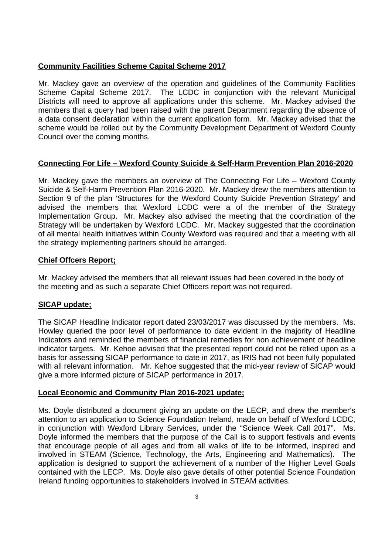# **Community Facilities Scheme Capital Scheme 2017**

Mr. Mackey gave an overview of the operation and guidelines of the Community Facilities Scheme Capital Scheme 2017. The LCDC in conjunction with the relevant Municipal Districts will need to approve all applications under this scheme. Mr. Mackey advised the members that a query had been raised with the parent Department regarding the absence of a data consent declaration within the current application form. Mr. Mackey advised that the scheme would be rolled out by the Community Development Department of Wexford County Council over the coming months.

# **Connecting For Life – Wexford County Suicide & Self-Harm Prevention Plan 2016-2020**

Mr. Mackey gave the members an overview of The Connecting For Life – Wexford County Suicide & Self-Harm Prevention Plan 2016-2020. Mr. Mackey drew the members attention to Section 9 of the plan 'Structures for the Wexford County Suicide Prevention Strategy' and advised the members that Wexford LCDC were a of the member of the Strategy Implementation Group. Mr. Mackey also advised the meeting that the coordination of the Strategy will be undertaken by Wexford LCDC. Mr. Mackey suggested that the coordination of all mental health initiatives within County Wexford was required and that a meeting with all the strategy implementing partners should be arranged.

### **Chief Offcers Report;**

Mr. Mackey advised the members that all relevant issues had been covered in the body of the meeting and as such a separate Chief Officers report was not required.

# **SICAP update;**

The SICAP Headline Indicator report dated 23/03/2017 was discussed by the members. Ms. Howley queried the poor level of performance to date evident in the majority of Headline Indicators and reminded the members of financial remedies for non achievement of headline indicator targets. Mr. Kehoe advised that the presented report could not be relied upon as a basis for assessing SICAP performance to date in 2017, as IRIS had not been fully populated with all relevant information. Mr. Kehoe suggested that the mid-year review of SICAP would give a more informed picture of SICAP performance in 2017.

### **Local Economic and Community Plan 2016-2021 update;**

Ms. Doyle distributed a document giving an update on the LECP, and drew the member's attention to an application to Science Foundation Ireland, made on behalf of Wexford LCDC, in conjunction with Wexford Library Services, under the "Science Week Call 2017". Ms. Doyle informed the members that the purpose of the Call is to support festivals and events that encourage people of all ages and from all walks of life to be informed, inspired and involved in STEAM (Science, Technology, the Arts, Engineering and Mathematics). The application is designed to support the achievement of a number of the Higher Level Goals contained with the LECP. Ms. Doyle also gave details of other potential Science Foundation Ireland funding opportunities to stakeholders involved in STEAM activities.